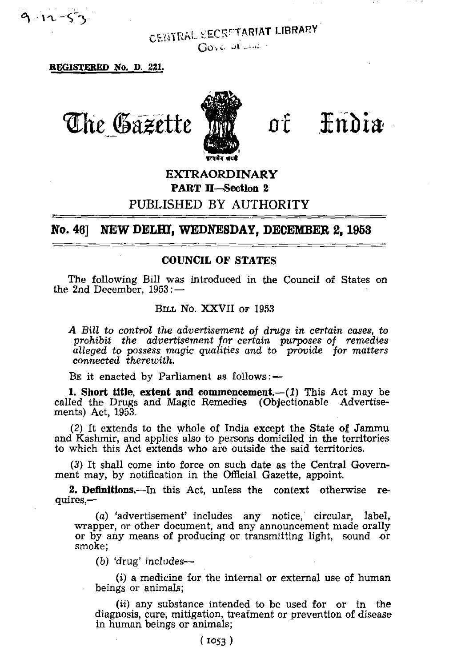$9 - 12 - 53$ 

CENTRAL SECRETARIAT LIBRARY  $GovC$  of  $\mathbb{R}^{n+1}$ .

**REGISTERED No. D. 221.**

*The Gazette* of India

# **EXTRAORDINARY PART II—Section 2**

## PUBLISHED BY AUTHORITY

**No. 46] NEW DELHI, WEDNESDAY, DECEMBER** *2,* **1953**

#### **COUNCIL OF STATES**

The following Bill was introduced in the Council of States on the 2nd December, 1953: -

#### BILL NO. XXVII OF 1953

*A Bill to control the advertisement of drugs in certain cases, to prohibit the advertisement for certain purposes of remedies alleged to possess magic qualities and to provide for matters connected therewith.*

BE it enacted by Parliament as follows: —

**1. Short title, extent and commencement.**—**(1)** This Act may be called the Drugs and Magic Remedies (Objectionable Advertisements) Act, 1953.

(2) It extends to the whole of India except the State of Jammu and Kashmir, and applies also to persons domiciled in the territories to which this Act extends who are outside the said territories.

*(3)* It shall come into force on such date as the Central Government may, by notification in the Official Gazette, appoint.

**2. Definitions.**—In this Act, unless the context otherwise requires,—

(a) 'advertisement' includes any notice, circular, label, wrapper, or other document, and any announcement made orally or by any means of producing or transmitting light, sound or smoke;

(b) 'drug' includes—

(i) a medicine for the internal or external use of human beings or animals;

*(ii)* any substance intended to be used for or in the diagnosis, cure, mitigation, treatment or prevention of disease in human beings or animals: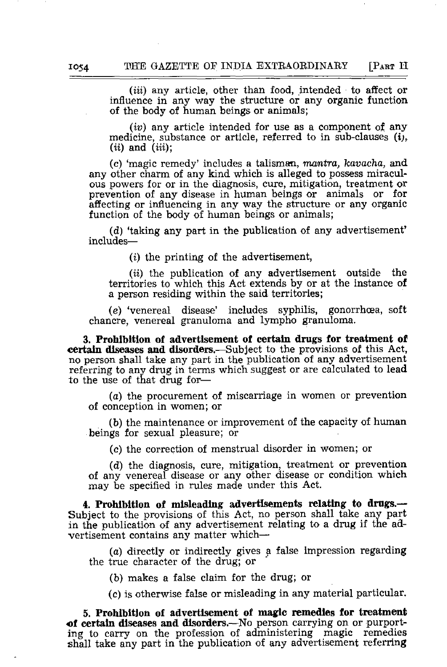*(iii)* any article, other than food, intended to affect or influence in any way the structure or any organic function of the body of human beings or animals;

*(iv)* any article intended for use as a component of any medicine, substance or article, referred to in sub-clauses  $(i)$ ,  $(ii)$  and  $(iii)$ ;

(c) 'magic remedy' includes a talisman, *rrumtra, kavacha,* and any other charm of any kind which is alleged to possess miraculous powers for or in the diagnosis, cure, mitigation, treatment or prevention of any disease in human beings or animals or for affecting or influencing in any way the structure or any organic function of the body of human beings or animals;

(d) 'taking any part in the publication of any advertisement' includes—

(i) the printing of the advertisement,

*(ii)* the publication of any advertisement outside the territories to which this Act extends by or at the instance of a person residing within the said territories;

(e) 'venereal disease' includes syphilis, gonorrhoea, soft chancre, venereal granuloma and lympho granuloma.

**3. Prohibition of advertisement of certain drugs for treatment of certain diseases and disorders.**—Subject to the provisions of this Act, no person shall take any part in the publication of any advertisement referring to any drug in terms which suggest or are calculated to lead to the use of that drug for—

(a) the procurement of miscarriage in women or prevention of conception in women; or

(b) the maintenance or improvement of the capacity of human beings for sexual pleasure; or

(c) the correction of menstrual disorder in women; or

(d) the diagnosis, cure, mitigation, treatment or prevention of any venereal disease or any other disease or condition which may be specified in rules made under this Act.

**4. Prohibition of misleading: advertisements relating to drugs.**— Subject to the provisions of this Act, no person shall take any part in the publication of any advertisement relating to a drug if the advertisement contains any matter which—

(a) directly or indirectly gives a false impression regarding the true character of the drug; or

(b) makes a false claim for the drug; or

(c) is otherwise false or misleading in any material particular.

5. **Prohibition of advertisement of magic remedies for treatment cf certain diseases and disorders.**—No person carrying on or purporting to carry on the profession of administering magic remedies shall take any part in the publication of any advertisement referring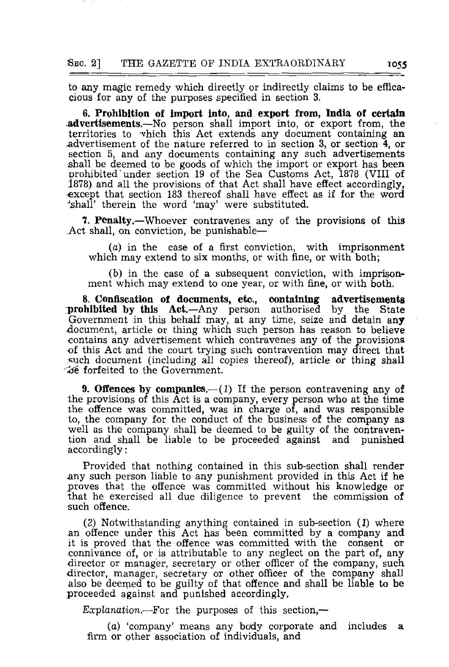to any magic remedy which directly or indirectly claims to be efficacious for any of the purposes specified in section 3.

**6. Prohibition of import into, and export from, India of certain .advertisements.**—No person shall import into, or export from, the territories to "vhich this Act extends any document containing an ^advertisement of the nature referred to in section 3, or section 4, or section 5, and any documents containing any such advertisements shall be deemed to be goods of which the import or export has been Drohibited' under section 19 of the Sea Customs Act, 1878 (VIII of 1878) and all the provisions of that Act shall have effect accordingly, •except that section 183 thereof shall have effect as if for the word 'shall' therein the word 'may' were substituted.

**1. Penalty.**—Whoever contravenes any of the provisions of this Act shall, on conviction, be punishable—

(a) in the case of a first conviction, with imprisonment which may extend to six months, or with fine, or with both;

(b) in the case of a subsequent conviction, with imprisonment which may extend to one year, or with fine, or with both.

**8. Confiscation of documents, etc., containing advertisements ^prohibited by this Act.**—Any person authorised by the State Government in this behalf may, at any time, seize and detain any document, article or thing which such person has reason to believe contains any advertisement which contravenes any of the provisions of this Act and the court trying such contravention may direct that such document (including all copies thereof), article or thing shall  $\infty$  forfeited to the Government.

**9. Offences by companies.—**(1) If the person contravening any of the provisions of this Act is a company, every person who at the time the offence was committed, was in charge of, and was responsible to, the company for the conduct of the business of the company as well as the company shall be deemed to be guilty of the contravention and shall be liable to be proceeded against and punished accordingly:

Provided that nothing contained in this sub-section shall render -any such person liable to any punishment provided in this Act if he proves that the offence was committed without his knowledge or that he exercised all due diligence to prevent the commission of such offence.

(2) Notwithstanding anything contained in sub-section *(1)* where an offence under this Act has been committed by a company and it is proved that the offence was committed with the consent or connivance of, or is attributable to any neglect on the part of, any director or manager, secretary or other officer of the company, such director, manager, secretary or other officer of the company shall also be deemed to be guilty of that offence and shall be liable to be proceeded against and punished accordingly.

Explanation.—For the purposes of this section,—

(a) 'company' means any body corporate and includes **a** firm or other association of individuals, and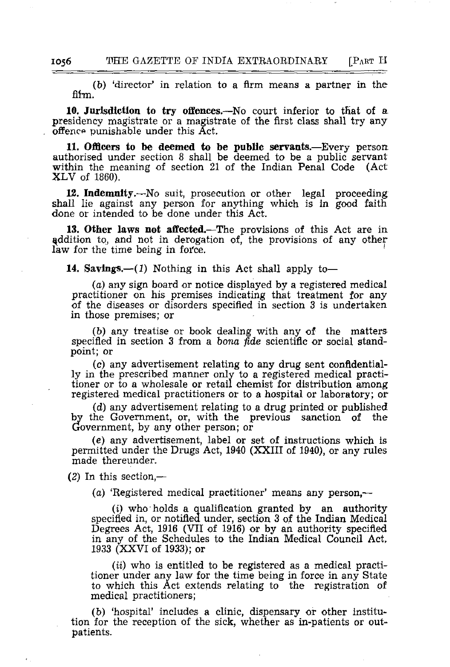(b) 'director' in relation to a firm means a partner in the fifm.

10. Jurisdiction to try offences.—No court inferior to that of a presidency magistrate or a magistrate of the first class shall try any offence punishable under this Act.

**11. Officers to be deemed to be public servants.**—Every person authorised under section 8 shall be deemed to be a public servant within the meaning of section 21 of the Indian Penal Code (Act XLV of 1860).

**12. Indemnity.—**No suit, prosecution or other legal proceeding shall lie against any person for anything which is in good faith done or intended to be done under this Act.

**13. Other laws not affected.**—The provisions of this Act are in addition to, and not in derogation of, the provisions of any other law for the time being in force.

14. **Savings.**—(I) Nothing in this Act shall apply to—

(a) any sign board or notice displayed by a registered medical practitioner on his premises indicating that treatment for any of the diseases or disorders specified in section 3 is undertaken in those premises; or

(b) any treatise or book dealing with any of the matters specified in section 3 from a *bona fide* scientific or social standpoint; or

(c) any advertisement relating to any drug sent confidentially in the prescribed manner only to a registered medical practitioner or to a wholesale or retail chemist for distribution among registered medical practitioners or to a hospital or laboratory; or

(d) any advertisement relating to a drug printed or published by the Government, or, with the previous sanction of the Government, by any other person; or

(e) any advertisement, label or set of instructions which is permitted under the Drugs Act, 1940 (XXIII of 1940), or any rules made thereunder,

(2) In this section,—

(a) 'Registered medical practitioner' means any person,—

*(i)* who holds a qualification granted by an authority specified in, or notified under, section 3 of the Indian Medical Degrees Act, 1916 (VII of 1916) or by an authority specified in any of the Schedules to the Indian Medical Council Act, 1933 (XXVI of 1933); or

*(it)* who is entitled to be registered as a medical practitioner under any law for the time being in force in any State to which this Act extends relating to the registration of medical practitioners;

(b) 'hospital' includes a clinic, dispensary or other institution for the reception of the sick, whether as in-patients or outpatients.